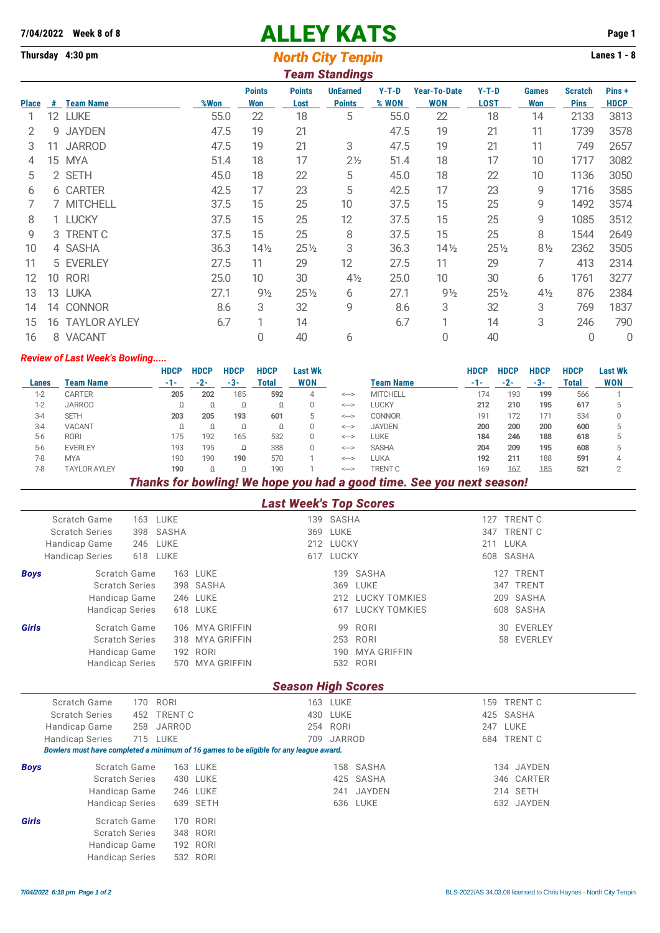# **7/04/2022 Week 8 of 8** ALLEY KATS **Page 1**

# **Thursday 4:30 pm Lanes 1 - 8 North City Tenpin Lanes 1 - 8**

|              | <b>Team Standings</b> |                     |      |                      |                       |                                  |                  |                                   |                        |                     |                               |                       |  |  |
|--------------|-----------------------|---------------------|------|----------------------|-----------------------|----------------------------------|------------------|-----------------------------------|------------------------|---------------------|-------------------------------|-----------------------|--|--|
| <b>Place</b> | #                     | <b>Team Name</b>    | %Won | <b>Points</b><br>Won | <b>Points</b><br>Lost | <b>UnEarned</b><br><b>Points</b> | $Y-T-D$<br>% WON | <b>Year-To-Date</b><br><b>WON</b> | $Y-T-D$<br><b>LOST</b> | <b>Games</b><br>Won | <b>Scratch</b><br><b>Pins</b> | Pins +<br><b>HDCP</b> |  |  |
|              | 12                    | <b>LUKE</b>         | 55.0 | 22                   | 18                    | 5                                | 55.0             | 22                                | 18                     | 14                  | 2133                          | 3813                  |  |  |
| 2            | g                     | <b>JAYDEN</b>       | 47.5 | 19                   | 21                    |                                  | 47.5             | 19                                | 21                     | 11                  | 1739                          | 3578                  |  |  |
| 3            | 11                    | <b>JARROD</b>       | 47.5 | 19                   | 21                    | 3                                | 47.5             | 19                                | 21                     | 11                  | 749                           | 2657                  |  |  |
| 4            | 15                    | <b>MYA</b>          | 51.4 | 18                   | 17                    | $2\frac{1}{2}$                   | 51.4             | 18                                | 17                     | 10                  | 1717                          | 3082                  |  |  |
| 5            |                       | 2 SETH              | 45.0 | 18                   | 22                    | 5                                | 45.0             | 18                                | 22                     | 10                  | 1136                          | 3050                  |  |  |
| 6            |                       | 6 CARTER            | 42.5 | 17                   | 23                    | 5                                | 42.5             | 17                                | 23                     | 9                   | 1716                          | 3585                  |  |  |
|              | 7                     | <b>MITCHELL</b>     | 37.5 | 15                   | 25                    | 10                               | 37.5             | 15                                | 25                     | 9                   | 1492                          | 3574                  |  |  |
| 8            |                       | 1 LUCKY             | 37.5 | 15                   | 25                    | 12                               | 37.5             | 15                                | 25                     | 9                   | 1085                          | 3512                  |  |  |
| 9            |                       | 3 TRENT C           | 37.5 | 15                   | 25                    | 8                                | 37.5             | 15                                | 25                     | 8                   | 1544                          | 2649                  |  |  |
| 10           |                       | 4 SASHA             | 36.3 | $14\frac{1}{2}$      | $25\%$                | 3                                | 36.3             | $14\frac{1}{2}$                   | $25\frac{1}{2}$        | $8\frac{1}{2}$      | 2362                          | 3505                  |  |  |
| 11           |                       | 5 EVERLEY           | 27.5 | 11                   | 29                    | 12                               | 27.5             | 11                                | 29                     | 7                   | 413                           | 2314                  |  |  |
| 12           | 10                    | <b>RORI</b>         | 25.0 | 10                   | 30                    | $4\frac{1}{2}$                   | 25.0             | 10                                | 30                     | 6                   | 1761                          | 3277                  |  |  |
| 13           |                       | 13 LUKA             | 27.1 | $9\frac{1}{2}$       | $25\%$                | 6                                | 27.1             | $9\frac{1}{2}$                    | $25\frac{1}{2}$        | $4\frac{1}{2}$      | 876                           | 2384                  |  |  |
| 14           |                       | 14 CONNOR           | 8.6  | 3                    | 32                    | 9                                | 8.6              | 3                                 | 32                     | 3                   | 769                           | 1837                  |  |  |
| 15           | 16                    | <b>TAYLOR AYLEY</b> | 6.7  | 1                    | 14                    |                                  | 6.7              | ⊣                                 | 14                     | 3                   | 246                           | 790                   |  |  |
| 16           |                       | 8 VACANT            |      | 0                    | 40                    | 6                                |                  | 0                                 | 40                     |                     | 0                             | 0                     |  |  |

#### *Review of Last Week's Bowling.....*

|         |                     | <b>HDCP</b> | <b>HDCP</b> | <b>HDCP</b> | <b>HDCP</b> | Last Wk    |              |                  | <b>HDCP</b> | <b>HDCP</b> | <b>HDCP</b> | <b>HDCP</b>  | Last Wk    |
|---------|---------------------|-------------|-------------|-------------|-------------|------------|--------------|------------------|-------------|-------------|-------------|--------------|------------|
| Lanes   | <b>Team Name</b>    | -1-         | $-2-$       | -3          | Total       | <b>WON</b> |              | <b>Team Name</b> | -1-         | $-2-$       | -3-         | <b>Total</b> | <b>WON</b> |
| $1-2$   | <b>CARTER</b>       | 205         | 202         | 185         | 592         | 4          | <-->         | <b>MITCHELL</b>  | 174         | 193         | 199         | 566          |            |
| $1-2$   | <b>JARROD</b>       |             |             |             |             |            | $\leftarrow$ | <b>LUCKY</b>     | 212         | 210         | 195         | 617          |            |
| $3 - 4$ | <b>SETH</b>         | 203         | 205         | 193         | 601         | 5.         | <-->         | <b>CONNOR</b>    | 191         | 172         | 171         | 534          |            |
| $3-4$   | <b>VACANT</b>       |             |             |             |             |            | $\leftarrow$ | <b>JAYDEN</b>    | 200         | 200         | 200         | 600          |            |
| $5-6$   | <b>RORI</b>         | 175         | 192         | 165         | 532         |            | $\leftarrow$ | LUKE             | 184         | 246         | 188         | 618          |            |
| $5-6$   | <b>EVERLEY</b>      | 193         | 195         |             | 388         |            | <-->         | <b>SASHA</b>     | 204         | 209         | 195         | 608          |            |
| $7-8$   | <b>MYA</b>          | 190         | 190         | 190         | 570         |            | <-->         | LUKA             | 192         | 211         | 188         | 591          |            |
| $7-8$   | <b>TAYLOR AYLEY</b> | 190         |             |             | 190         |            | <-->         | <b>TRENT C</b>   | 169         | 167         | 185         | 521          |            |

### *Thanks for bowling! We hope you had a good time. See you next season!*

|  |  |  |  | <b>Last Week's Top Scores</b> |
|--|--|--|--|-------------------------------|
|--|--|--|--|-------------------------------|

|             | Scratch Game<br>163                                                                    | LUKE            |  | 139 SASHA  |                      | 127 | <b>TRENT C</b> |  |  |  |  |  |  |
|-------------|----------------------------------------------------------------------------------------|-----------------|--|------------|----------------------|-----|----------------|--|--|--|--|--|--|
|             | <b>Scratch Series</b><br>398                                                           | SASHA           |  | 369 LUKE   |                      | 347 | <b>TRENT C</b> |  |  |  |  |  |  |
|             | Handicap Game<br>246                                                                   | LUKE            |  | 212 LUCKY  |                      | 211 | LUKA           |  |  |  |  |  |  |
|             | <b>Handicap Series</b><br>618 LUKE                                                     |                 |  | 617 LUCKY  |                      |     | 608 SASHA      |  |  |  |  |  |  |
| <b>Boys</b> | Scratch Game                                                                           | <b>163 LUKE</b> |  | 139        | SASHA                |     | 127 TRENT      |  |  |  |  |  |  |
|             | <b>Scratch Series</b>                                                                  | 398 SASHA       |  | 369        | LUKE                 |     | 347 TRENT      |  |  |  |  |  |  |
|             | Handicap Game                                                                          | 246 LUKE        |  | 212        | <b>LUCKY TOMKIES</b> |     | 209 SASHA      |  |  |  |  |  |  |
|             | <b>Handicap Series</b>                                                                 | 618 LUKE        |  | 617        | <b>LUCKY TOMKIES</b> |     | 608 SASHA      |  |  |  |  |  |  |
| Girls       | Scratch Game                                                                           | 106 MYA GRIFFIN |  | 99         | RORI                 |     | 30 EVERLEY     |  |  |  |  |  |  |
|             | <b>Scratch Series</b>                                                                  | 318 MYA GRIFFIN |  | 253        | RORI                 |     | 58 EVERLEY     |  |  |  |  |  |  |
|             | Handicap Game                                                                          | 192 RORI        |  | 190        | <b>MYA GRIFFIN</b>   |     |                |  |  |  |  |  |  |
|             | <b>Handicap Series</b>                                                                 | 570 MYA GRIFFIN |  |            | 532 RORI             |     |                |  |  |  |  |  |  |
|             | <b>Season High Scores</b>                                                              |                 |  |            |                      |     |                |  |  |  |  |  |  |
|             | Scratch Game<br>170                                                                    | RORI            |  | 163 LUKE   |                      | 159 | <b>TRENT C</b> |  |  |  |  |  |  |
|             | <b>Scratch Series</b><br>452                                                           | <b>TRENT C</b>  |  | 430 LUKE   |                      | 425 | SASHA          |  |  |  |  |  |  |
|             | 258<br>Handicap Game                                                                   | <b>JARROD</b>   |  | 254 RORI   |                      | 247 | LUKE           |  |  |  |  |  |  |
|             | 715 LUKE<br><b>Handicap Series</b>                                                     |                 |  | 709 JARROD |                      | 684 | <b>TRENT C</b> |  |  |  |  |  |  |
|             | Bowlers must have completed a minimum of 16 games to be eligible for any league award. |                 |  |            |                      |     |                |  |  |  |  |  |  |
| <b>Boys</b> | Scratch Game                                                                           | 163 LUKE        |  | 158        | SASHA                |     | 134 JAYDEN     |  |  |  |  |  |  |
|             | <b>Scratch Series</b>                                                                  | 430 LUKE        |  | 425        | SASHA                |     | 346 CARTER     |  |  |  |  |  |  |
|             | Handicap Game                                                                          | 246 LUKE        |  | 241        | <b>JAYDEN</b>        |     | 214 SETH       |  |  |  |  |  |  |
|             | <b>Handicap Series</b>                                                                 | 639 SETH        |  |            | 636 LUKE             |     | 632 JAYDEN     |  |  |  |  |  |  |
| Girls       | Scratch Game                                                                           | 170 RORI        |  |            |                      |     |                |  |  |  |  |  |  |
|             | <b>Scratch Series</b>                                                                  | 348 RORI        |  |            |                      |     |                |  |  |  |  |  |  |
|             | Handicap Game                                                                          | 192 RORI        |  |            |                      |     |                |  |  |  |  |  |  |
|             | <b>Handicap Series</b>                                                                 | 532 RORI        |  |            |                      |     |                |  |  |  |  |  |  |